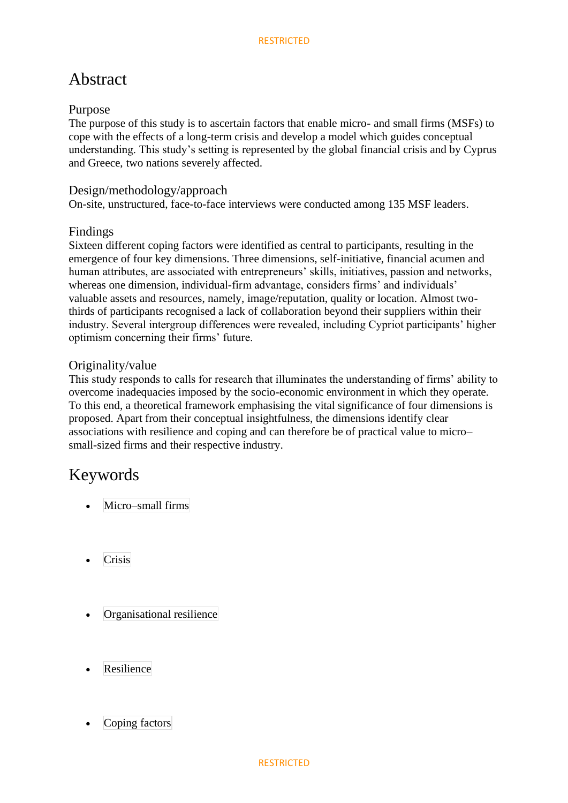## Abstract

### Purpose

The purpose of this study is to ascertain factors that enable micro- and small firms (MSFs) to cope with the effects of a long-term crisis and develop a model which guides conceptual understanding. This study's setting is represented by the global financial crisis and by Cyprus and Greece, two nations severely affected.

### Design/methodology/approach

On-site, unstructured, face-to-face interviews were conducted among 135 MSF leaders.

### Findings

Sixteen different coping factors were identified as central to participants, resulting in the emergence of four key dimensions. Three dimensions, self-initiative, financial acumen and human attributes, are associated with entrepreneurs' skills, initiatives, passion and networks, whereas one dimension, individual-firm advantage, considers firms' and individuals' valuable assets and resources, namely, image/reputation, quality or location. Almost twothirds of participants recognised a lack of collaboration beyond their suppliers within their industry. Several intergroup differences were revealed, including Cypriot participants' higher optimism concerning their firms' future.

### Originality/value

This study responds to calls for research that illuminates the understanding of firms' ability to overcome inadequacies imposed by the socio-economic environment in which they operate. To this end, a theoretical framework emphasising the vital significance of four dimensions is proposed. Apart from their conceptual insightfulness, the dimensions identify clear associations with resilience and coping and can therefore be of practical value to micro– small-sized firms and their respective industry.

## Keywords

- [Micro–small](https://www.emerald.com/insight/search?q=Micro%E2%80%93small+firms) firms
- **[Crisis](https://www.emerald.com/insight/search?q=Crisis)**
- [Organisational](https://www.emerald.com/insight/search?q=Organisational+resilience) resilience
- [Resilience](https://www.emerald.com/insight/search?q=Resilience)
- [Coping](https://www.emerald.com/insight/search?q=Coping+factors) factors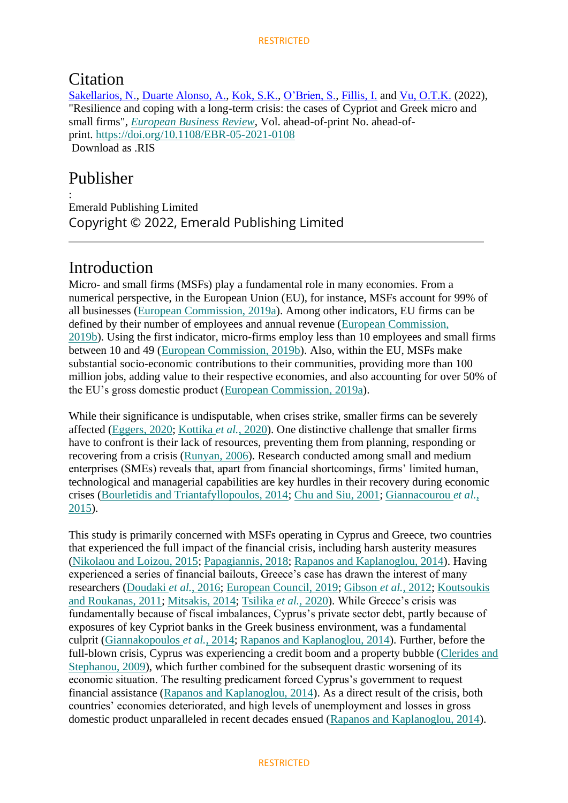### **Citation**

[Sakellarios, N.,](https://www.emerald.com/insight/search?q=Nikolaos%20Sakellarios) [Duarte Alonso, A.,](https://www.emerald.com/insight/search?q=Abel%20Duarte%20Alonso) [Kok, S.K.,](https://www.emerald.com/insight/search?q=Seng%20Kiat%20Kok) [O'Brien, S.,](https://www.emerald.com/insight/search?q=Seamus%20O%E2%80%99Brien) [Fillis, I.](https://www.emerald.com/insight/search?q=Ian%20Fillis) and [Vu, O.T.K.](https://www.emerald.com/insight/search?q=Oanh%20Thi%20Kim%20Vu) (2022), "Resilience and coping with a long-term crisis: the cases of Cypriot and Greek micro and small firms", *[European Business Review](https://www.emerald.com/insight/publication/issn/0955-534X)*, Vol. ahead-of-print No. ahead-ofprint. <https://doi.org/10.1108/EBR-05-2021-0108> Download as RIS

## Publisher

:

Emerald Publishing Limited Copyright © 2022, Emerald Publishing Limited

## Introduction

Micro- and small firms (MSFs) play a fundamental role in many economies. From a numerical perspective, in the European Union (EU), for instance, MSFs account for 99% of all businesses [\(European Commission, 2019a\)](https://www.emerald.com/insight/content/doi/10.1108/EBR-05-2021-0108/full/html#ref015). Among other indicators, EU firms can be defined by their number of employees and annual revenue [\(European Commission,](https://www.emerald.com/insight/content/doi/10.1108/EBR-05-2021-0108/full/html#ref016)  [2019b\)](https://www.emerald.com/insight/content/doi/10.1108/EBR-05-2021-0108/full/html#ref016). Using the first indicator, micro-firms employ less than 10 employees and small firms between 10 and 49 [\(European Commission, 2019b\)](https://www.emerald.com/insight/content/doi/10.1108/EBR-05-2021-0108/full/html#ref016). Also, within the EU, MSFs make substantial socio-economic contributions to their communities, providing more than 100 million jobs, adding value to their respective economies, and also accounting for over 50% of the EU's gross domestic product [\(European Commission, 2019a\)](https://www.emerald.com/insight/content/doi/10.1108/EBR-05-2021-0108/full/html#ref015).

While their significance is undisputable, when crises strike, smaller firms can be severely affected [\(Eggers, 2020;](https://www.emerald.com/insight/content/doi/10.1108/EBR-05-2021-0108/full/html#ref013) [Kottika](https://www.emerald.com/insight/content/doi/10.1108/EBR-05-2021-0108/full/html#ref030) *et al.*, 2020). One distinctive challenge that smaller firms have to confront is their lack of resources, preventing them from planning, responding or recovering from a crisis [\(Runyan, 2006\)](https://www.emerald.com/insight/content/doi/10.1108/EBR-05-2021-0108/full/html#ref049). Research conducted among small and medium enterprises (SMEs) reveals that, apart from financial shortcomings, firms' limited human, technological and managerial capabilities are key hurdles in their recovery during economic crises [\(Bourletidis and Triantafyllopoulos, 2014;](https://www.emerald.com/insight/content/doi/10.1108/EBR-05-2021-0108/full/html#ref004) [Chu and Siu, 2001;](https://www.emerald.com/insight/content/doi/10.1108/EBR-05-2021-0108/full/html#ref008) [Giannacourou](https://www.emerald.com/insight/content/doi/10.1108/EBR-05-2021-0108/full/html#ref022) *et al.*, [2015\)](https://www.emerald.com/insight/content/doi/10.1108/EBR-05-2021-0108/full/html#ref022).

This study is primarily concerned with MSFs operating in Cyprus and Greece, two countries that experienced the full impact of the financial crisis, including harsh austerity measures [\(Nikolaou and Loizou, 2015;](https://www.emerald.com/insight/content/doi/10.1108/EBR-05-2021-0108/full/html#ref039) [Papagiannis, 2018;](https://www.emerald.com/insight/content/doi/10.1108/EBR-05-2021-0108/full/html#ref043) [Rapanos and Kaplanoglou, 2014\)](https://www.emerald.com/insight/content/doi/10.1108/EBR-05-2021-0108/full/html#ref048). Having experienced a series of financial bailouts, Greece's case has drawn the interest of many researchers [\(Doudaki](https://www.emerald.com/insight/content/doi/10.1108/EBR-05-2021-0108/full/html#ref012) *et al.*, 2016; [European Council, 2019;](https://www.emerald.com/insight/content/doi/10.1108/EBR-05-2021-0108/full/html#ref018) [Gibson](https://www.emerald.com/insight/content/doi/10.1108/EBR-05-2021-0108/full/html#ref024) *et al.*, 2012; [Koutsoukis](https://www.emerald.com/insight/content/doi/10.1108/EBR-05-2021-0108/full/html#ref031)  [and Roukanas, 2011;](https://www.emerald.com/insight/content/doi/10.1108/EBR-05-2021-0108/full/html#ref031) [Mitsakis, 2014;](https://www.emerald.com/insight/content/doi/10.1108/EBR-05-2021-0108/full/html#ref037) [Tsilika](https://www.emerald.com/insight/content/doi/10.1108/EBR-05-2021-0108/full/html#ref060) *et al.*, 2020). While Greece's crisis was fundamentally because of fiscal imbalances, Cyprus's private sector debt, partly because of exposures of key Cypriot banks in the Greek business environment, was a fundamental culprit [\(Giannakopoulos](https://www.emerald.com/insight/content/doi/10.1108/EBR-05-2021-0108/full/html#ref023) *et al.*, 2014; [Rapanos and Kaplanoglou, 2014\)](https://www.emerald.com/insight/content/doi/10.1108/EBR-05-2021-0108/full/html#ref048). Further, before the full-blown crisis, Cyprus was experiencing a credit boom and a property bubble (Clerides and [Stephanou, 2009\)](https://www.emerald.com/insight/content/doi/10.1108/EBR-05-2021-0108/full/html#ref009), which further combined for the subsequent drastic worsening of its economic situation. The resulting predicament forced Cyprus's government to request financial assistance [\(Rapanos and Kaplanoglou, 2014\)](https://www.emerald.com/insight/content/doi/10.1108/EBR-05-2021-0108/full/html#ref048). As a direct result of the crisis, both countries' economies deteriorated, and high levels of unemployment and losses in gross domestic product unparalleled in recent decades ensued [\(Rapanos and Kaplanoglou, 2014\)](https://www.emerald.com/insight/content/doi/10.1108/EBR-05-2021-0108/full/html#ref048).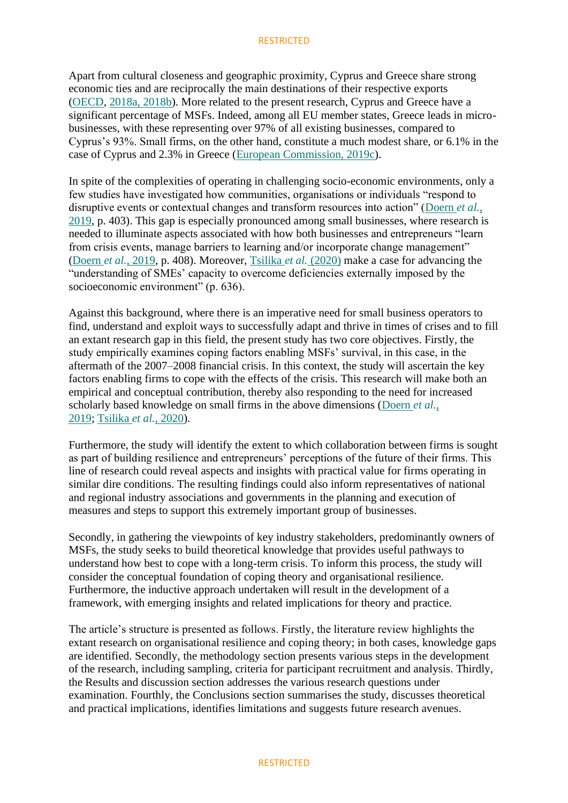Apart from cultural closeness and geographic proximity, Cyprus and Greece share strong economic ties and are reciprocally the main destinations of their respective exports [\(OECD,](https://www.emerald.com/insight/content/doi/10.1108/EBR-05-2021-0108/full/html#ref041) [2018a, 2018b\)](https://www.emerald.com/insight/content/doi/10.1108/EBR-05-2021-0108/full/html#ref042). More related to the present research, Cyprus and Greece have a significant percentage of MSFs. Indeed, among all EU member states, Greece leads in microbusinesses, with these representing over 97% of all existing businesses, compared to Cyprus's 93%. Small firms, on the other hand, constitute a much modest share, or 6.1% in the case of Cyprus and 2.3% in Greece [\(European Commission, 2019c\)](https://www.emerald.com/insight/content/doi/10.1108/EBR-05-2021-0108/full/html#ref017).

In spite of the complexities of operating in challenging socio-economic environments, only a few studies have investigated how communities, organisations or individuals "respond to disruptive events or contextual changes and transform resources into action" [\(Doern](https://www.emerald.com/insight/content/doi/10.1108/EBR-05-2021-0108/full/html#ref011) *et al.*, [2019,](https://www.emerald.com/insight/content/doi/10.1108/EBR-05-2021-0108/full/html#ref011) p. 403). This gap is especially pronounced among small businesses, where research is needed to illuminate aspects associated with how both businesses and entrepreneurs "learn from crisis events, manage barriers to learning and/or incorporate change management" (Doern *et al.*[, 2019,](https://www.emerald.com/insight/content/doi/10.1108/EBR-05-2021-0108/full/html#ref011) p. 408). Moreover, [Tsilika](https://www.emerald.com/insight/content/doi/10.1108/EBR-05-2021-0108/full/html#ref060) *et al.* (2020) make a case for advancing the "understanding of SMEs' capacity to overcome deficiencies externally imposed by the socioeconomic environment" (p. 636).

Against this background, where there is an imperative need for small business operators to find, understand and exploit ways to successfully adapt and thrive in times of crises and to fill an extant research gap in this field, the present study has two core objectives. Firstly, the study empirically examines coping factors enabling MSFs' survival, in this case, in the aftermath of the 2007–2008 financial crisis. In this context, the study will ascertain the key factors enabling firms to cope with the effects of the crisis. This research will make both an empirical and conceptual contribution, thereby also responding to the need for increased scholarly based knowledge on small firms in the above dimensions [\(Doern](https://www.emerald.com/insight/content/doi/10.1108/EBR-05-2021-0108/full/html#ref011) *et al.*, [2019;](https://www.emerald.com/insight/content/doi/10.1108/EBR-05-2021-0108/full/html#ref011) [Tsilika](https://www.emerald.com/insight/content/doi/10.1108/EBR-05-2021-0108/full/html#ref060) *et al.*, 2020).

Furthermore, the study will identify the extent to which collaboration between firms is sought as part of building resilience and entrepreneurs' perceptions of the future of their firms. This line of research could reveal aspects and insights with practical value for firms operating in similar dire conditions. The resulting findings could also inform representatives of national and regional industry associations and governments in the planning and execution of measures and steps to support this extremely important group of businesses.

Secondly, in gathering the viewpoints of key industry stakeholders, predominantly owners of MSFs, the study seeks to build theoretical knowledge that provides useful pathways to understand how best to cope with a long-term crisis. To inform this process, the study will consider the conceptual foundation of coping theory and organisational resilience. Furthermore, the inductive approach undertaken will result in the development of a framework, with emerging insights and related implications for theory and practice.

The article's structure is presented as follows. Firstly, the literature review highlights the extant research on organisational resilience and coping theory; in both cases, knowledge gaps are identified. Secondly, the methodology section presents various steps in the development of the research, including sampling, criteria for participant recruitment and analysis. Thirdly, the Results and discussion section addresses the various research questions under examination. Fourthly, the Conclusions section summarises the study, discusses theoretical and practical implications, identifies limitations and suggests future research avenues.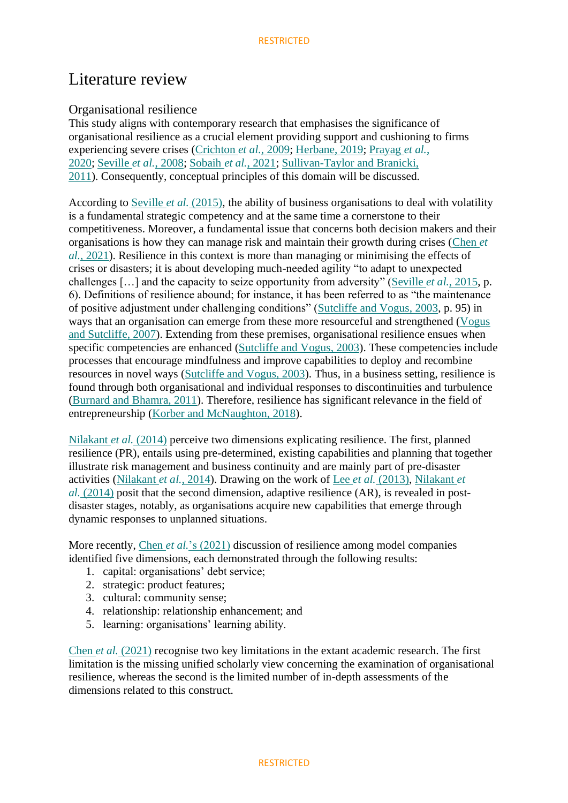### Literature review

### Organisational resilience

This study aligns with contemporary research that emphasises the significance of organisational resilience as a crucial element providing support and cushioning to firms experiencing severe crises [\(Crichton](https://www.emerald.com/insight/content/doi/10.1108/EBR-05-2021-0108/full/html#ref010) *et al.*, 2009; [Herbane, 2019;](https://www.emerald.com/insight/content/doi/10.1108/EBR-05-2021-0108/full/html#ref026) [Prayag](https://www.emerald.com/insight/content/doi/10.1108/EBR-05-2021-0108/full/html#ref047) *et al.*, [2020;](https://www.emerald.com/insight/content/doi/10.1108/EBR-05-2021-0108/full/html#ref047) [Seville](https://www.emerald.com/insight/content/doi/10.1108/EBR-05-2021-0108/full/html#ref052) *et al.*, 2008; [Sobaih](https://www.emerald.com/insight/content/doi/10.1108/EBR-05-2021-0108/full/html#ref055) *et al.*, 2021; [Sullivan-Taylor and Branicki,](https://www.emerald.com/insight/content/doi/10.1108/EBR-05-2021-0108/full/html#ref057)  [2011\)](https://www.emerald.com/insight/content/doi/10.1108/EBR-05-2021-0108/full/html#ref057). Consequently, conceptual principles of this domain will be discussed.

According to Seville *et al.* [\(2015\),](https://www.emerald.com/insight/content/doi/10.1108/EBR-05-2021-0108/full/html#ref053) the ability of business organisations to deal with volatility is a fundamental strategic competency and at the same time a cornerstone to their competitiveness. Moreover, a fundamental issue that concerns both decision makers and their organisations is how they can manage risk and maintain their growth during crises [\(Chen](https://www.emerald.com/insight/content/doi/10.1108/EBR-05-2021-0108/full/html#ref007) *et al.*[, 2021\)](https://www.emerald.com/insight/content/doi/10.1108/EBR-05-2021-0108/full/html#ref007). Resilience in this context is more than managing or minimising the effects of crises or disasters; it is about developing much-needed agility "to adapt to unexpected challenges […] and the capacity to seize opportunity from adversity" [\(Seville](https://www.emerald.com/insight/content/doi/10.1108/EBR-05-2021-0108/full/html#ref053) *et al.*, 2015, p. 6). Definitions of resilience abound; for instance, it has been referred to as "the maintenance of positive adjustment under challenging conditions" [\(Sutcliffe and Vogus, 2003,](https://www.emerald.com/insight/content/doi/10.1108/EBR-05-2021-0108/full/html#ref058) p. 95) in ways that an organisation can emerge from these more resourceful and strengthened [\(Vogus](https://www.emerald.com/insight/content/doi/10.1108/EBR-05-2021-0108/full/html#ref061)  [and Sutcliffe, 2007\)](https://www.emerald.com/insight/content/doi/10.1108/EBR-05-2021-0108/full/html#ref061). Extending from these premises, organisational resilience ensues when specific competencies are enhanced [\(Sutcliffe and Vogus, 2003\)](https://www.emerald.com/insight/content/doi/10.1108/EBR-05-2021-0108/full/html#ref058). These competencies include processes that encourage mindfulness and improve capabilities to deploy and recombine resources in novel ways [\(Sutcliffe and Vogus, 2003\)](https://www.emerald.com/insight/content/doi/10.1108/EBR-05-2021-0108/full/html#ref058). Thus, in a business setting, resilience is found through both organisational and individual responses to discontinuities and turbulence [\(Burnard and Bhamra, 2011\)](https://www.emerald.com/insight/content/doi/10.1108/EBR-05-2021-0108/full/html#ref006). Therefore, resilience has significant relevance in the field of entrepreneurship [\(Korber and McNaughton, 2018\)](https://www.emerald.com/insight/content/doi/10.1108/EBR-05-2021-0108/full/html#ref029).

[Nilakant](https://www.emerald.com/insight/content/doi/10.1108/EBR-05-2021-0108/full/html#ref040) *et al.* (2014) perceive two dimensions explicating resilience. The first, planned resilience (PR), entails using pre-determined, existing capabilities and planning that together illustrate risk management and business continuity and are mainly part of pre-disaster activities [\(Nilakant](https://www.emerald.com/insight/content/doi/10.1108/EBR-05-2021-0108/full/html#ref040) *et al.*, 2014). Drawing on the work of Lee *et al.* [\(2013\),](https://www.emerald.com/insight/content/doi/10.1108/EBR-05-2021-0108/full/html#ref034) [Nilakant](https://www.emerald.com/insight/content/doi/10.1108/EBR-05-2021-0108/full/html#ref040) *et al.* [\(2014\)](https://www.emerald.com/insight/content/doi/10.1108/EBR-05-2021-0108/full/html#ref040) posit that the second dimension, adaptive resilience (AR), is revealed in postdisaster stages, notably, as organisations acquire new capabilities that emerge through dynamic responses to unplanned situations.

More recently, Chen *et al.*['s \(2021\)](https://www.emerald.com/insight/content/doi/10.1108/EBR-05-2021-0108/full/html#ref007) discussion of resilience among model companies identified five dimensions, each demonstrated through the following results:

- 1. capital: organisations' debt service;
- 2. strategic: product features;
- 3. cultural: community sense;
- 4. relationship: relationship enhancement; and
- 5. learning: organisations' learning ability.

Chen *et al.* [\(2021\)](https://www.emerald.com/insight/content/doi/10.1108/EBR-05-2021-0108/full/html#ref007) recognise two key limitations in the extant academic research. The first limitation is the missing unified scholarly view concerning the examination of organisational resilience, whereas the second is the limited number of in-depth assessments of the dimensions related to this construct.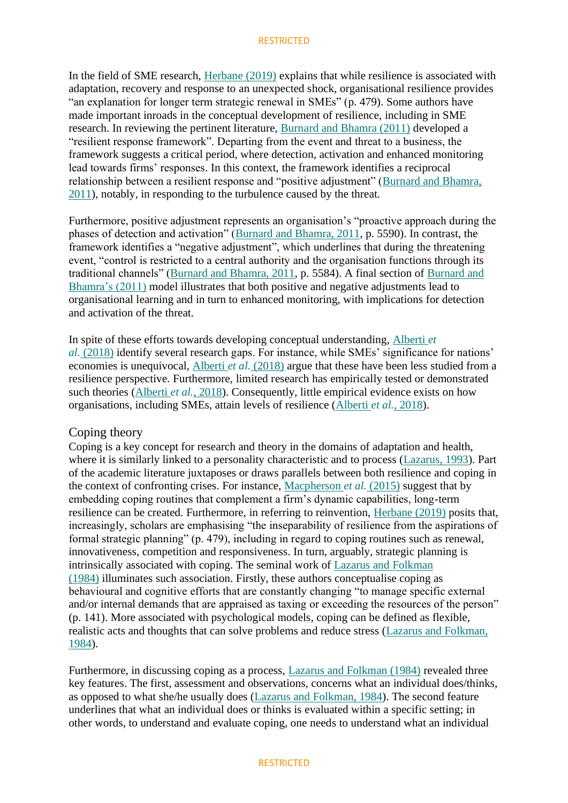In the field of SME research, Herbane (2019) explains that while resilience is associated with adaptation, recovery and res[ponse to an unexp](https://www.emerald.com/insight/content/doi/10.1108/EBR-05-2021-0108/full/html#ref026)ected shock, organisational resilience provides "an explanation for longer term strategic renewal in SMEs" (p. 479). Some authors have made important inroads in the conceptual development of resilience, including in SME research. In reviewing the pertinent literature, [Burnard and Bhamra \(2011\)](https://www.emerald.com/insight/content/doi/10.1108/EBR-05-2021-0108/full/html#ref006) developed a "resilient response framework". Departing from the event and threat to a business, the framework suggests a critical period, where detection, activation and enhanced monitoring lead towards firms' responses. In this context, the framework identifies a reciprocal relationship between a resilient response and "positive adjustment" (Burnard and Bhamra, [2011\)](https://www.emerald.com/insight/content/doi/10.1108/EBR-05-2021-0108/full/html#ref006), notably, in responding to the turbulence caused by the threat.

Furthermore, positive adjustment represents an organisation's "proactive approach during the phases of detection and activation" [\(Burnard and Bhamra, 2011,](https://www.emerald.com/insight/content/doi/10.1108/EBR-05-2021-0108/full/html#ref006) p. 5590). In contrast, the framework identifies a "negative adjustment", which underlines that during the threatening event, "control is restricted to a central authority and the organisation functions through its traditional channels" [\(Burnard and Bhamra, 2011,](https://www.emerald.com/insight/content/doi/10.1108/EBR-05-2021-0108/full/html#ref006) p. 5584). A final section of [Burnard and](https://www.emerald.com/insight/content/doi/10.1108/EBR-05-2021-0108/full/html#ref006)  [Bhamra's \(2011\)](https://www.emerald.com/insight/content/doi/10.1108/EBR-05-2021-0108/full/html#ref006) model illustrates that both positive and negative adjustments lead to organisational learning and in turn to enhanced monitoring, with implications for detection and activation of the threat.

In spite of these efforts towards developing conceptual understanding, [Alberti](https://www.emerald.com/insight/content/doi/10.1108/EBR-05-2021-0108/full/html#ref001) *et al.* [\(2018\)](https://www.emerald.com/insight/content/doi/10.1108/EBR-05-2021-0108/full/html#ref001) identify several research gaps. For instance, while SMEs' significance for nations' economies is unequivocal, [Alberti](https://www.emerald.com/insight/content/doi/10.1108/EBR-05-2021-0108/full/html#ref001) *et al.* (2018) argue that these have been less studied from a resilience perspective. Furthermore, limited research has empirically tested or demonstrated such theories [\(Alberti](https://www.emerald.com/insight/content/doi/10.1108/EBR-05-2021-0108/full/html#ref001) *et al.*, 2018). Consequently, little empirical evidence exists on how organisations, including SMEs, attain levels of resilience [\(Alberti](https://www.emerald.com/insight/content/doi/10.1108/EBR-05-2021-0108/full/html#ref001) *et al.*, 2018).

### Coping theory

Coping is a key concept for research and theory in the domains of adaptation and health, where it is similarly linked to a personality characteristic and to process [\(Lazarus, 1993\)](https://www.emerald.com/insight/content/doi/10.1108/EBR-05-2021-0108/full/html#ref032). Part of the academic literature juxtaposes or draws parallels between both resilience and coping in the context of confronting crises. For instance, [Macpherson](https://www.emerald.com/insight/content/doi/10.1108/EBR-05-2021-0108/full/html#ref036) *et al.* (2015) suggest that by embedding coping routines that complement a firm's dynamic capabilities, long-term resilience can be created. Furthermore, in referring to reinvention, [Herbane \(2019\)](https://www.emerald.com/insight/content/doi/10.1108/EBR-05-2021-0108/full/html#ref026) posits that, increasingly, scholars are emphasising "the inseparability of resilience from the aspirations of formal strategic planning" (p. 479), including in regard to coping routines such as renewal, innovativeness, competition and responsiveness. In turn, arguably, strategic planning is intrinsically associated with coping. The seminal work of [Lazarus and Folkman](https://www.emerald.com/insight/content/doi/10.1108/EBR-05-2021-0108/full/html#ref033)  [\(1984\)](https://www.emerald.com/insight/content/doi/10.1108/EBR-05-2021-0108/full/html#ref033) illuminates such association. Firstly, these authors conceptualise coping as behavioural and cognitive efforts that are constantly changing "to manage specific external and/or internal demands that are appraised as taxing or exceeding the resources of the person" (p. 141). More associated with psychological models, coping can be defined as flexible, realistic acts and thoughts that can solve problems and reduce stress [\(Lazarus and Folkman,](https://www.emerald.com/insight/content/doi/10.1108/EBR-05-2021-0108/full/html#ref033)  [1984\)](https://www.emerald.com/insight/content/doi/10.1108/EBR-05-2021-0108/full/html#ref033).

Furthermore, in discussing coping as a process, [Lazarus and Folkman \(1984\)](https://www.emerald.com/insight/content/doi/10.1108/EBR-05-2021-0108/full/html#ref033) revealed three key features. The first, assessment and observations, concerns what an individual does/thinks, as opposed to what she/he usually does [\(Lazarus and Folkman, 1984\)](https://www.emerald.com/insight/content/doi/10.1108/EBR-05-2021-0108/full/html#ref033). The second feature underlines that what an individual does or thinks is evaluated within a specific setting; in other words, to understand and evaluate coping, one needs to understand what an individual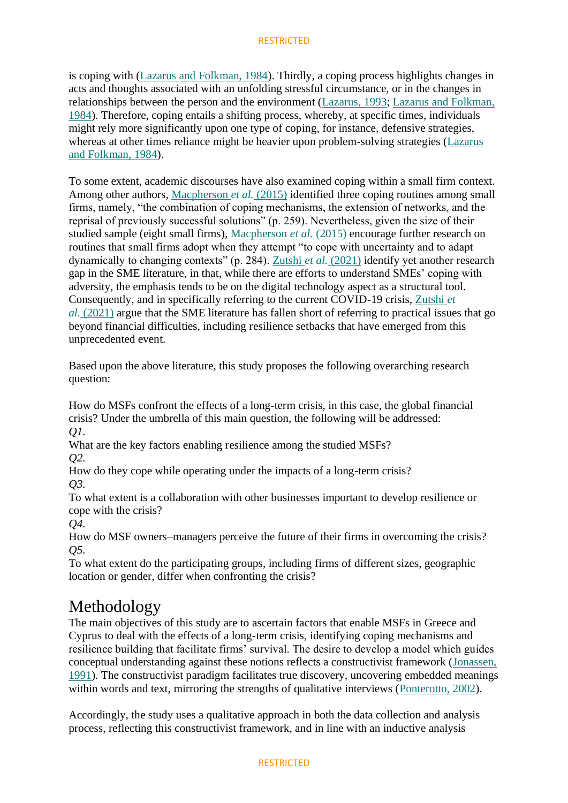is coping with [\(Lazarus and Folkman, 1984\)](https://www.emerald.com/insight/content/doi/10.1108/EBR-05-2021-0108/full/html#ref033). Thirdly, a coping process highlights changes in acts and thoughts associated with an unfolding stressful circumstance, or in the changes in relationships between the person and the environment [\(Lazarus, 1993;](https://www.emerald.com/insight/content/doi/10.1108/EBR-05-2021-0108/full/html#ref032) [Lazarus and Folkman,](https://www.emerald.com/insight/content/doi/10.1108/EBR-05-2021-0108/full/html#ref033)  [1984\)](https://www.emerald.com/insight/content/doi/10.1108/EBR-05-2021-0108/full/html#ref033). Therefore, coping entails a shifting process, whereby, at specific times, individuals might rely more significantly upon one type of coping, for instance, defensive strategies, whereas at other times reliance might be heavier upon problem-solving strategies [\(Lazarus](https://www.emerald.com/insight/content/doi/10.1108/EBR-05-2021-0108/full/html#ref033)  [and Folkman, 1984\)](https://www.emerald.com/insight/content/doi/10.1108/EBR-05-2021-0108/full/html#ref033).

To some extent, academic discourses have also examined coping within a small firm context. Among other authors, [Macpherson](https://www.emerald.com/insight/content/doi/10.1108/EBR-05-2021-0108/full/html#ref036) *et al.* (2015) identified three coping routines among small firms, namely, "the combination of coping mechanisms, the extension of networks, and the reprisal of previously successful solutions" (p. 259). Nevertheless, given the size of their studied sample (eight small firms), [Macpherson](https://www.emerald.com/insight/content/doi/10.1108/EBR-05-2021-0108/full/html#ref036) *et al.* (2015) encourage further research on routines that small firms adopt when they attempt "to cope with uncertainty and to adapt dynamically to changing contexts" (p. 284). Zutshi *et al.* [\(2021\)](https://www.emerald.com/insight/content/doi/10.1108/EBR-05-2021-0108/full/html#ref063) identify yet another research gap in the SME literature, in that, while there are efforts to understand SMEs' coping with adversity, the emphasis tends to be on the digital technology aspect as a structural tool. Consequently, and in specifically referring to the current COVID-19 crisis, [Zutshi](https://www.emerald.com/insight/content/doi/10.1108/EBR-05-2021-0108/full/html#ref063) *et al.* [\(2021\)](https://www.emerald.com/insight/content/doi/10.1108/EBR-05-2021-0108/full/html#ref063) argue that the SME literature has fallen short of referring to practical issues that go beyond financial difficulties, including resilience setbacks that have emerged from this unprecedented event.

Based upon the above literature, this study proposes the following overarching research question:

How do MSFs confront the effects of a long-term crisis, in this case, the global financial crisis? Under the umbrella of this main question, the following will be addressed: *Q1.*

What are the key factors enabling resilience among the studied MSFs?

*Q2.*

How do they cope while operating under the impacts of a long-term crisis? *Q3.*

To what extent is a collaboration with other businesses important to develop resilience or cope with the crisis?

*Q4.*

How do MSF owners–managers perceive the future of their firms in overcoming the crisis? *Q5.*

To what extent do the participating groups, including firms of different sizes, geographic location or gender, differ when confronting the crisis?

## Methodology

The main objectives of this study are to ascertain factors that enable MSFs in Greece and Cyprus to deal with the effects of a long-term crisis, identifying coping mechanisms and resilience building that facilitate firms' survival. The desire to develop a model which guides conceptual understanding against these notions reflects a constructivist framework [\(Jonassen,](https://www.emerald.com/insight/content/doi/10.1108/EBR-05-2021-0108/full/html#ref028)  [1991\)](https://www.emerald.com/insight/content/doi/10.1108/EBR-05-2021-0108/full/html#ref028). The constructivist paradigm facilitates true discovery, uncovering embedded meanings within words and text, mirroring the strengths of qualitative interviews [\(Ponterotto, 2002\)](https://www.emerald.com/insight/content/doi/10.1108/EBR-05-2021-0108/full/html#ref046).

Accordingly, the study uses a qualitative approach in both the data collection and analysis process, reflecting this constructivist framework, and in line with an inductive analysis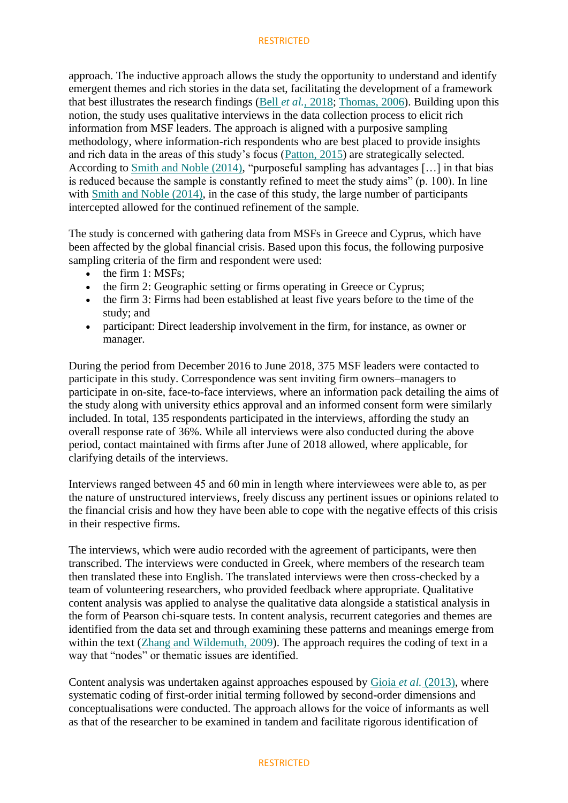approach. The inductive approach allows the study the opportunity to understand and identify emergent themes and rich stories in the data set, facilitating the development of a framework that best illustrates the research findings (Bell *et al.*[, 2018;](https://www.emerald.com/insight/content/doi/10.1108/EBR-05-2021-0108/full/html#ref003) [Thomas, 2006\)](https://www.emerald.com/insight/content/doi/10.1108/EBR-05-2021-0108/full/html#ref059). Building upon this notion, the study uses qualitative interviews in the data collection process to elicit rich information from MSF leaders. The approach is aligned with a purposive sampling methodology, where information-rich respondents who are best placed to provide insights and rich data in the areas of this study's focus [\(Patton, 2015\)](https://www.emerald.com/insight/content/doi/10.1108/EBR-05-2021-0108/full/html#ref045) are strategically selected. According to [Smith and Noble \(2014\),](https://www.emerald.com/insight/content/doi/10.1108/EBR-05-2021-0108/full/html#ref054) "purposeful sampling has advantages […] in that bias is reduced because the sample is constantly refined to meet the study aims" (p. 100). In line with [Smith and Noble \(2014\),](https://www.emerald.com/insight/content/doi/10.1108/EBR-05-2021-0108/full/html#ref054) in the case of this study, the large number of participants intercepted allowed for the continued refinement of the sample.

The study is concerned with gathering data from MSFs in Greece and Cyprus, which have been affected by the global financial crisis. Based upon this focus, the following purposive sampling criteria of the firm and respondent were used:

- the firm 1: MSFs;
- the firm 2: Geographic setting or firms operating in Greece or Cyprus;
- the firm 3: Firms had been established at least five years before to the time of the study; and
- participant: Direct leadership involvement in the firm, for instance, as owner or manager.

During the period from December 2016 to June 2018, 375 MSF leaders were contacted to participate in this study. Correspondence was sent inviting firm owners–managers to participate in on-site, face-to-face interviews, where an information pack detailing the aims of the study along with university ethics approval and an informed consent form were similarly included. In total, 135 respondents participated in the interviews, affording the study an overall response rate of 36%. While all interviews were also conducted during the above period, contact maintained with firms after June of 2018 allowed, where applicable, for clarifying details of the interviews.

Interviews ranged between 45 and 60 min in length where interviewees were able to, as per the nature of unstructured interviews, freely discuss any pertinent issues or opinions related to the financial crisis and how they have been able to cope with the negative effects of this crisis in their respective firms.

The interviews, which were audio recorded with the agreement of participants, were then transcribed. The interviews were conducted in Greek, where members of the research team then translated these into English. The translated interviews were then cross-checked by a team of volunteering researchers, who provided feedback where appropriate. Qualitative content analysis was applied to analyse the qualitative data alongside a statistical analysis in the form of Pearson chi-square tests. In content analysis, recurrent categories and themes are identified from the data set and through examining these patterns and meanings emerge from within the text [\(Zhang and Wildemuth, 2009\)](https://www.emerald.com/insight/content/doi/10.1108/EBR-05-2021-0108/full/html#ref062). The approach requires the coding of text in a way that "nodes" or thematic issues are identified.

Content analysis was undertaken against approaches espoused by Gioia *et al.* [\(2013\),](https://www.emerald.com/insight/content/doi/10.1108/EBR-05-2021-0108/full/html#ref025) where systematic coding of first-order initial terming followed by second-order dimensions and conceptualisations were conducted. The approach allows for the voice of informants as well as that of the researcher to be examined in tandem and facilitate rigorous identification of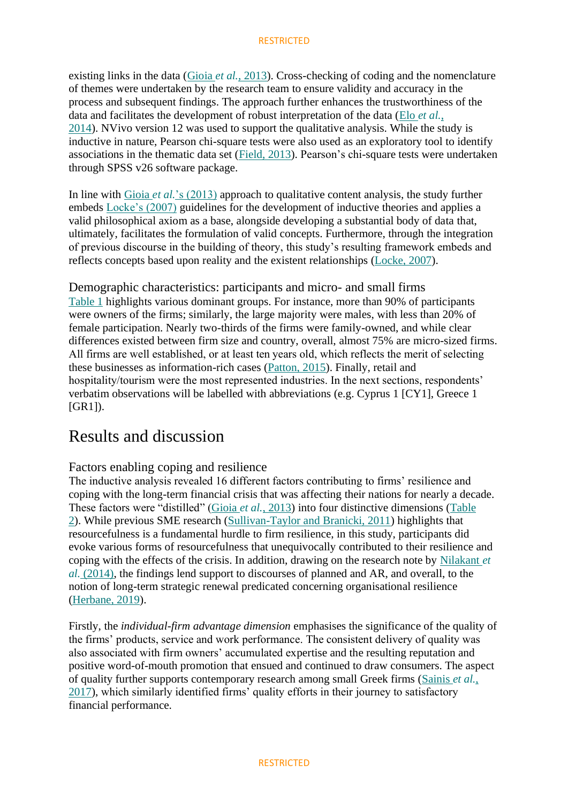existing links in the data (Gioia *et al.*[, 2013\)](https://www.emerald.com/insight/content/doi/10.1108/EBR-05-2021-0108/full/html#ref025). Cross-checking of coding and the nomenclature of themes were undertaken by the research team to ensure validity and accuracy in the process and subsequent findings. The approach further enhances the trustworthiness of the data and facilitates the development of robust interpretation of the data (Elo *[et al.](https://www.emerald.com/insight/content/doi/10.1108/EBR-05-2021-0108/full/html#ref014)*, [2014\)](https://www.emerald.com/insight/content/doi/10.1108/EBR-05-2021-0108/full/html#ref014). NVivo version 12 was used to support the qualitative analysis. While the study is inductive in nature, Pearson chi-square tests were also used as an exploratory tool to identify associations in the thematic data set [\(Field, 2013\)](https://www.emerald.com/insight/content/doi/10.1108/EBR-05-2021-0108/full/html#ref020). Pearson's chi-square tests were undertaken through SPSS v26 software package.

In line with Gioia *et al.*['s \(2013\)](https://www.emerald.com/insight/content/doi/10.1108/EBR-05-2021-0108/full/html#ref025) approach to qualitative content analysis, the study further embeds [Locke's \(2007\)](https://www.emerald.com/insight/content/doi/10.1108/EBR-05-2021-0108/full/html#ref035) guidelines for the development of inductive theories and applies a valid philosophical axiom as a base, alongside developing a substantial body of data that, ultimately, facilitates the formulation of valid concepts. Furthermore, through the integration of previous discourse in the building of theory, this study's resulting framework embeds and reflects concepts based upon reality and the existent relationships [\(Locke, 2007\)](https://www.emerald.com/insight/content/doi/10.1108/EBR-05-2021-0108/full/html#ref035).

Demographic characteristics: participants and micro- and small firms [Table 1](https://www.emerald.com/insight/content/doi/10.1108/EBR-05-2021-0108/full/html#tbl1) highlights various dominant groups. For instance, more than 90% of participants were owners of the firms; similarly, the large majority were males, with less than 20% of female participation. Nearly two-thirds of the firms were family-owned, and while clear differences existed between firm size and country, overall, almost 75% are micro-sized firms. All firms are well established, or at least ten years old, which reflects the merit of selecting these businesses as information-rich cases [\(Patton, 2015\)](https://www.emerald.com/insight/content/doi/10.1108/EBR-05-2021-0108/full/html#ref045). Finally, retail and hospitality/tourism were the most represented industries. In the next sections, respondents' verbatim observations will be labelled with abbreviations (e.g. Cyprus 1 [CY1], Greece 1 [GR1]).

## Results and discussion

### Factors enabling coping and resilience

The inductive analysis revealed 16 different factors contributing to firms' resilience and coping with the long-term financial crisis that was affecting their nations for nearly a decade. These factors were "distilled" (Gioia *et al.*[, 2013\)](https://www.emerald.com/insight/content/doi/10.1108/EBR-05-2021-0108/full/html#ref025) into four distinctive dimensions [\(Table](https://www.emerald.com/insight/content/doi/10.1108/EBR-05-2021-0108/full/html#tbl2)  [2\)](https://www.emerald.com/insight/content/doi/10.1108/EBR-05-2021-0108/full/html#tbl2). While previous SME research [\(Sullivan-Taylor and Branicki, 2011\)](https://www.emerald.com/insight/content/doi/10.1108/EBR-05-2021-0108/full/html#ref057) highlights that resourcefulness is a fundamental hurdle to firm resilience, in this study, participants did evoke various forms of resourcefulness that unequivocally contributed to their resilience and coping with the effects of the crisis. In addition, drawing on the research note by [Nilakant](https://www.emerald.com/insight/content/doi/10.1108/EBR-05-2021-0108/full/html#ref040) *et al.* [\(2014\),](https://www.emerald.com/insight/content/doi/10.1108/EBR-05-2021-0108/full/html#ref040) the findings lend support to discourses of planned and AR, and overall, to the notion of long-term strategic renewal predicated concerning organisational resilience [\(Herbane, 2019\)](https://www.emerald.com/insight/content/doi/10.1108/EBR-05-2021-0108/full/html#ref026).

Firstly, the *individual-firm advantage dimension* emphasises the significance of the quality of the firms' products, service and work performance. The consistent delivery of quality was also associated with firm owners' accumulated expertise and the resulting reputation and positive word-of-mouth promotion that ensued and continued to draw consumers. The aspect of quality further supports contemporary research among small Greek firms [\(Sainis](https://www.emerald.com/insight/content/doi/10.1108/EBR-05-2021-0108/full/html#ref050) *et al.*, [2017\)](https://www.emerald.com/insight/content/doi/10.1108/EBR-05-2021-0108/full/html#ref050), which similarly identified firms' quality efforts in their journey to satisfactory financial performance.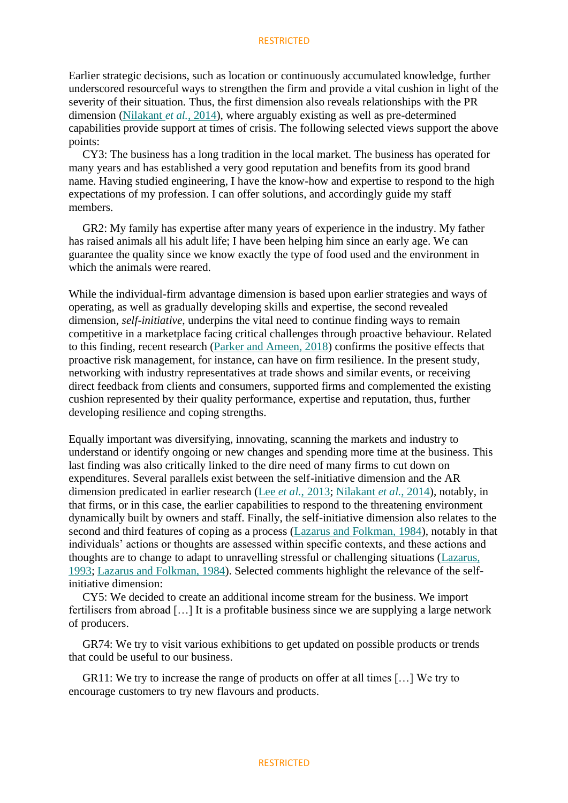Earlier strategic decisions, such as location or continuously accumulated knowledge, further underscored resourceful ways to strengthen the firm and provide a vital cushion in light of the severity of their situation. Thus, the first dimension also reveals relationships with the PR dimension [\(Nilakant](https://www.emerald.com/insight/content/doi/10.1108/EBR-05-2021-0108/full/html#ref040) *et al.*, 2014), where arguably existing as well as pre-determined capabilities provide support at times of crisis. The following selected views support the above points:

CY3: The business has a long tradition in the local market. The business has operated for many years and has established a very good reputation and benefits from its good brand name. Having studied engineering, I have the know-how and expertise to respond to the high expectations of my profession. I can offer solutions, and accordingly guide my staff members.

GR2: My family has expertise after many years of experience in the industry. My father has raised animals all his adult life; I have been helping him since an early age. We can guarantee the quality since we know exactly the type of food used and the environment in which the animals were reared.

While the individual-firm advantage dimension is based upon earlier strategies and ways of operating, as well as gradually developing skills and expertise, the second revealed dimension, *self-initiative*, underpins the vital need to continue finding ways to remain competitive in a marketplace facing critical challenges through proactive behaviour. Related to this finding, recent research [\(Parker and Ameen, 2018\)](https://www.emerald.com/insight/content/doi/10.1108/EBR-05-2021-0108/full/html#ref044) confirms the positive effects that proactive risk management, for instance, can have on firm resilience. In the present study, networking with industry representatives at trade shows and similar events, or receiving direct feedback from clients and consumers, supported firms and complemented the existing cushion represented by their quality performance, expertise and reputation, thus, further developing resilience and coping strengths.

Equally important was diversifying, innovating, scanning the markets and industry to understand or identify ongoing or new changes and spending more time at the business. This last finding was also critically linked to the dire need of many firms to cut down on expenditures. Several parallels exist between the self-initiative dimension and the AR dimension predicated in earlier research (Lee *et al.*[, 2013;](https://www.emerald.com/insight/content/doi/10.1108/EBR-05-2021-0108/full/html#ref034) [Nilakant](https://www.emerald.com/insight/content/doi/10.1108/EBR-05-2021-0108/full/html#ref040) *et al.*, 2014), notably, in that firms, or in this case, the earlier capabilities to respond to the threatening environment dynamically built by owners and staff. Finally, the self-initiative dimension also relates to the second and third features of coping as a process [\(Lazarus and Folkman, 1984\)](https://www.emerald.com/insight/content/doi/10.1108/EBR-05-2021-0108/full/html#ref033), notably in that individuals' actions or thoughts are assessed within specific contexts, and these actions and thoughts are to change to adapt to unravelling stressful or challenging situations [\(Lazarus,](https://www.emerald.com/insight/content/doi/10.1108/EBR-05-2021-0108/full/html#ref032)  [1993;](https://www.emerald.com/insight/content/doi/10.1108/EBR-05-2021-0108/full/html#ref032) [Lazarus and Folkman, 1984\)](https://www.emerald.com/insight/content/doi/10.1108/EBR-05-2021-0108/full/html#ref033). Selected comments highlight the relevance of the selfinitiative dimension:

CY5: We decided to create an additional income stream for the business. We import fertilisers from abroad […] It is a profitable business since we are supplying a large network of producers.

GR74: We try to visit various exhibitions to get updated on possible products or trends that could be useful to our business.

GR11: We try to increase the range of products on offer at all times […] We try to encourage customers to try new flavours and products.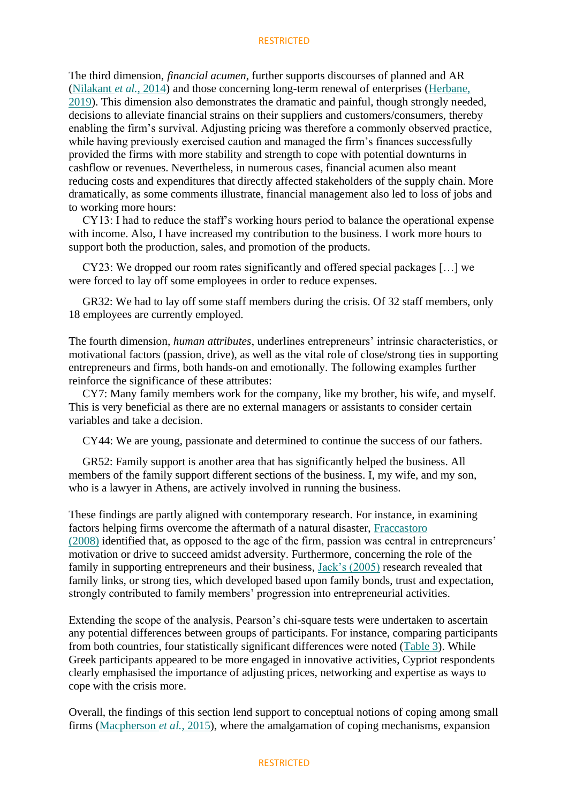The third dimension, *financial acumen*, further supports discourses of planned and AR [\(Nilakant](https://www.emerald.com/insight/content/doi/10.1108/EBR-05-2021-0108/full/html#ref040) *et al.*, 2014) and those concerning long-term renewal of enterprises [\(Herbane,](https://www.emerald.com/insight/content/doi/10.1108/EBR-05-2021-0108/full/html#ref026)  [2019\)](https://www.emerald.com/insight/content/doi/10.1108/EBR-05-2021-0108/full/html#ref026). This dimension also demonstrates the dramatic and painful, though strongly needed, decisions to alleviate financial strains on their suppliers and customers/consumers, thereby enabling the firm's survival. Adjusting pricing was therefore a commonly observed practice, while having previously exercised caution and managed the firm's finances successfully provided the firms with more stability and strength to cope with potential downturns in cashflow or revenues. Nevertheless, in numerous cases, financial acumen also meant reducing costs and expenditures that directly affected stakeholders of the supply chain. More dramatically, as some comments illustrate, financial management also led to loss of jobs and to working more hours:

CY13: I had to reduce the staff's working hours period to balance the operational expense with income. Also, I have increased my contribution to the business. I work more hours to support both the production, sales, and promotion of the products.

CY23: We dropped our room rates significantly and offered special packages […] we were forced to lay off some employees in order to reduce expenses.

GR32: We had to lay off some staff members during the crisis. Of 32 staff members, only 18 employees are currently employed.

The fourth dimension, *human attributes*, underlines entrepreneurs' intrinsic characteristics, or motivational factors (passion, drive), as well as the vital role of close/strong ties in supporting entrepreneurs and firms, both hands-on and emotionally. The following examples further reinforce the significance of these attributes:

CY7: Many family members work for the company, like my brother, his wife, and myself. This is very beneficial as there are no external managers or assistants to consider certain variables and take a decision.

CY44: We are young, passionate and determined to continue the success of our fathers.

GR52: Family support is another area that has significantly helped the business. All members of the family support different sections of the business. I, my wife, and my son, who is a lawyer in Athens, are actively involved in running the business.

These findings are partly aligned with contemporary research. For instance, in examining factors helping firms overcome the aftermath of a natural disaster, [Fraccastoro](https://www.emerald.com/insight/content/doi/10.1108/EBR-05-2021-0108/full/html#ref021)  [\(2008\)](https://www.emerald.com/insight/content/doi/10.1108/EBR-05-2021-0108/full/html#ref021) identified that, as opposed to the age of the firm, passion was central in entrepreneurs' motivation or drive to succeed amidst adversity. Furthermore, concerning the role of the family in supporting entrepreneurs and their business, [Jack's \(2005\)](https://www.emerald.com/insight/content/doi/10.1108/EBR-05-2021-0108/full/html#ref027) research revealed that family links, or strong ties, which developed based upon family bonds, trust and expectation, strongly contributed to family members' progression into entrepreneurial activities.

Extending the scope of the analysis, Pearson's chi-square tests were undertaken to ascertain any potential differences between groups of participants. For instance, comparing participants from both countries, four statistically significant differences were noted [\(Table 3\)](https://www.emerald.com/insight/content/doi/10.1108/EBR-05-2021-0108/full/html#tbl3). While Greek participants appeared to be more engaged in innovative activities, Cypriot respondents clearly emphasised the importance of adjusting prices, networking and expertise as ways to cope with the crisis more.

Overall, the findings of this section lend support to conceptual notions of coping among small firms [\(Macpherson](https://www.emerald.com/insight/content/doi/10.1108/EBR-05-2021-0108/full/html#ref036) *et al.*, 2015), where the amalgamation of coping mechanisms, expansion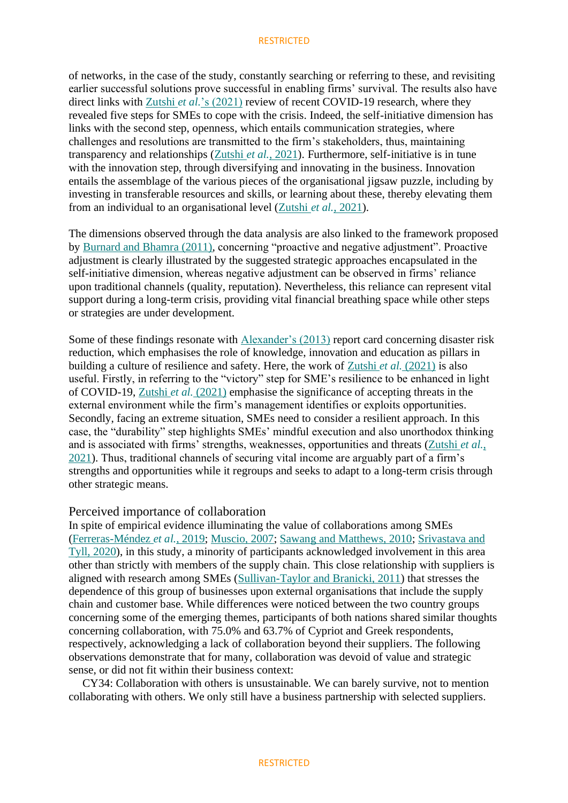of networks, in the case of the study, constantly searching or referring to these, and revisiting earlier successful solutions prove successful in enabling firms' survival. The results also have direct links with Zutshi *et al.*['s \(2021\)](https://www.emerald.com/insight/content/doi/10.1108/EBR-05-2021-0108/full/html#ref063) review of recent COVID-19 research, where they revealed five steps for SMEs to cope with the crisis. Indeed, the self-initiative dimension has links with the second step, openness, which entails communication strategies, where challenges and resolutions are transmitted to the firm's stakeholders, thus, maintaining transparency and relationships (Zutshi *et al.*[, 2021\)](https://www.emerald.com/insight/content/doi/10.1108/EBR-05-2021-0108/full/html#ref063). Furthermore, self-initiative is in tune with the innovation step, through diversifying and innovating in the business. Innovation entails the assemblage of the various pieces of the organisational jigsaw puzzle, including by investing in transferable resources and skills, or learning about these, thereby elevating them from an individual to an organisational level [\(Zutshi](https://www.emerald.com/insight/content/doi/10.1108/EBR-05-2021-0108/full/html#ref063) *et al.*, 2021).

The dimensions observed through the data analysis are also linked to the framework proposed by [Burnard and Bhamra \(2011\),](https://www.emerald.com/insight/content/doi/10.1108/EBR-05-2021-0108/full/html#ref006) concerning "proactive and negative adjustment". Proactive adjustment is clearly illustrated by the suggested strategic approaches encapsulated in the self-initiative dimension, whereas negative adjustment can be observed in firms' reliance upon traditional channels (quality, reputation). Nevertheless, this reliance can represent vital support during a long-term crisis, providing vital financial breathing space while other steps or strategies are under development.

Some of these findings resonate with [Alexander's \(2013\)](https://www.emerald.com/insight/content/doi/10.1108/EBR-05-2021-0108/full/html#ref002) report card concerning disaster risk reduction, which emphasises the role of knowledge, innovation and education as pillars in building a culture of resilience and safety. Here, the work of Zutshi *et al.* [\(2021\)](https://www.emerald.com/insight/content/doi/10.1108/EBR-05-2021-0108/full/html#ref063) is also useful. Firstly, in referring to the "victory" step for SME's resilience to be enhanced in light of COVID-19, Zutshi *et al.* [\(2021\)](https://www.emerald.com/insight/content/doi/10.1108/EBR-05-2021-0108/full/html#ref063) emphasise the significance of accepting threats in the external environment while the firm's management identifies or exploits opportunities. Secondly, facing an extreme situation, SMEs need to consider a resilient approach. In this case, the "durability" step highlights SMEs' mindful execution and also unorthodox thinking and is associated with firms' strengths, weaknesses, opportunities and threats [\(Zutshi](https://www.emerald.com/insight/content/doi/10.1108/EBR-05-2021-0108/full/html#ref063) *et al.*, [2021\)](https://www.emerald.com/insight/content/doi/10.1108/EBR-05-2021-0108/full/html#ref063). Thus, traditional channels of securing vital income are arguably part of a firm's strengths and opportunities while it regroups and seeks to adapt to a long-term crisis through other strategic means.

### Perceived importance of collaboration

In spite of empirical evidence illuminating the value of collaborations among SMEs [\(Ferreras-Méndez](https://www.emerald.com/insight/content/doi/10.1108/EBR-05-2021-0108/full/html#ref019) *et al.*, 2019; [Muscio, 2007;](https://www.emerald.com/insight/content/doi/10.1108/EBR-05-2021-0108/full/html#ref038) [Sawang and Matthews, 2010;](https://www.emerald.com/insight/content/doi/10.1108/EBR-05-2021-0108/full/html#ref051) [Srivastava and](https://www.emerald.com/insight/content/doi/10.1108/EBR-05-2021-0108/full/html#ref056)  [Tyll, 2020\)](https://www.emerald.com/insight/content/doi/10.1108/EBR-05-2021-0108/full/html#ref056), in this study, a minority of participants acknowledged involvement in this area other than strictly with members of the supply chain. This close relationship with suppliers is aligned with research among SMEs [\(Sullivan-Taylor and Branicki, 2011\)](https://www.emerald.com/insight/content/doi/10.1108/EBR-05-2021-0108/full/html#ref057) that stresses the dependence of this group of businesses upon external organisations that include the supply chain and customer base. While differences were noticed between the two country groups concerning some of the emerging themes, participants of both nations shared similar thoughts concerning collaboration, with 75.0% and 63.7% of Cypriot and Greek respondents, respectively, acknowledging a lack of collaboration beyond their suppliers. The following observations demonstrate that for many, collaboration was devoid of value and strategic sense, or did not fit within their business context:

CY34: Collaboration with others is unsustainable. We can barely survive, not to mention collaborating with others. We only still have a business partnership with selected suppliers.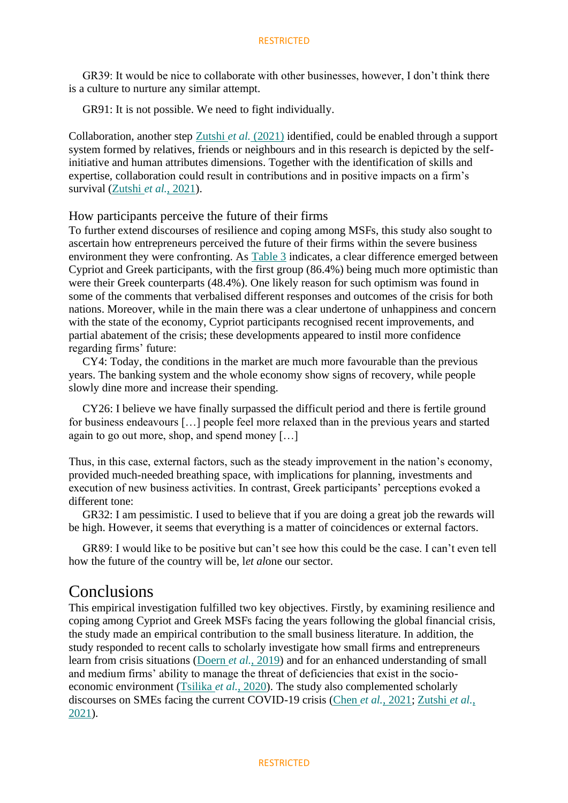GR39: It would be nice to collaborate with other businesses, however, I don't think there is a culture to nurture any similar attempt.

GR91: It is not possible. We need to fight individually.

Collaboration, another step Zutshi *et al.* [\(2021\)](https://www.emerald.com/insight/content/doi/10.1108/EBR-05-2021-0108/full/html#ref063) identified, could be enabled through a support system formed by relatives, friends or neighbours and in this research is depicted by the selfinitiative and human attributes dimensions. Together with the identification of skills and expertise, collaboration could result in contributions and in positive impacts on a firm's survival [\(Zutshi](https://www.emerald.com/insight/content/doi/10.1108/EBR-05-2021-0108/full/html#ref063) *et al.*, 2021).

### How participants perceive the future of their firms

To further extend discourses of resilience and coping among MSFs, this study also sought to ascertain how entrepreneurs perceived the future of their firms within the severe business environment they were confronting. As [Table 3](https://www.emerald.com/insight/content/doi/10.1108/EBR-05-2021-0108/full/html#tbl3) indicates, a clear difference emerged between Cypriot and Greek participants, with the first group (86.4%) being much more optimistic than were their Greek counterparts (48.4%). One likely reason for such optimism was found in some of the comments that verbalised different responses and outcomes of the crisis for both nations. Moreover, while in the main there was a clear undertone of unhappiness and concern with the state of the economy, Cypriot participants recognised recent improvements, and partial abatement of the crisis; these developments appeared to instil more confidence regarding firms' future:

CY4: Today, the conditions in the market are much more favourable than the previous years. The banking system and the whole economy show signs of recovery, while people slowly dine more and increase their spending.

CY26: I believe we have finally surpassed the difficult period and there is fertile ground for business endeavours […] people feel more relaxed than in the previous years and started again to go out more, shop, and spend money […]

Thus, in this case, external factors, such as the steady improvement in the nation's economy, provided much-needed breathing space, with implications for planning, investments and execution of new business activities. In contrast, Greek participants' perceptions evoked a different tone:

GR32: I am pessimistic. I used to believe that if you are doing a great job the rewards will be high. However, it seems that everything is a matter of coincidences or external factors.

GR89: I would like to be positive but can't see how this could be the case. I can't even tell how the future of the country will be, l*et al*one our sector.

### Conclusions

This empirical investigation fulfilled two key objectives. Firstly, by examining resilience and coping among Cypriot and Greek MSFs facing the years following the global financial crisis, the study made an empirical contribution to the small business literature. In addition, the study responded to recent calls to scholarly investigate how small firms and entrepreneurs learn from crisis situations (Doern *et al.*[, 2019\)](https://www.emerald.com/insight/content/doi/10.1108/EBR-05-2021-0108/full/html#ref011) and for an enhanced understanding of small and medium firms' ability to manage the threat of deficiencies that exist in the socioeconomic environment [\(Tsilika](https://www.emerald.com/insight/content/doi/10.1108/EBR-05-2021-0108/full/html#ref060) *et al.*, 2020). The study also complemented scholarly discourses on SMEs facing the current COVID-19 crisis (Chen *et al.*[, 2021;](https://www.emerald.com/insight/content/doi/10.1108/EBR-05-2021-0108/full/html#ref007) [Zutshi](https://www.emerald.com/insight/content/doi/10.1108/EBR-05-2021-0108/full/html#ref063) *et al.*, [2021\)](https://www.emerald.com/insight/content/doi/10.1108/EBR-05-2021-0108/full/html#ref063).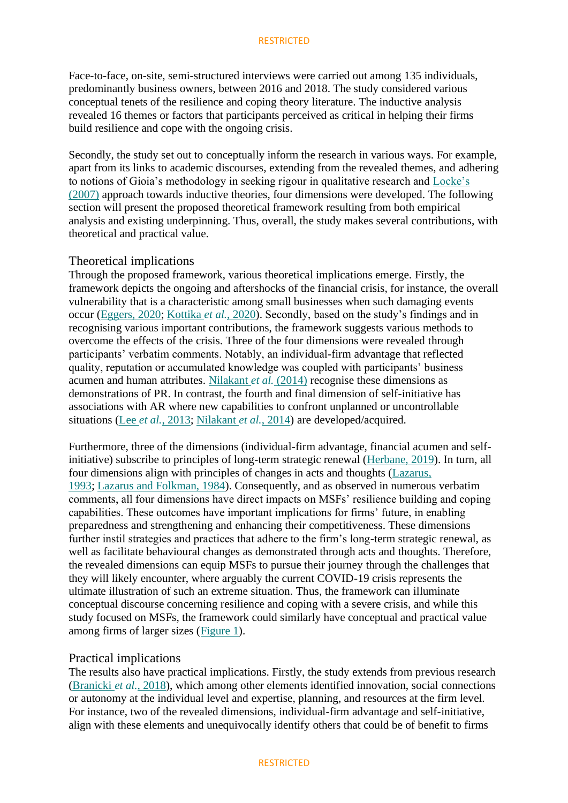Face-to-face, on-site, semi-structured interviews were carried out among 135 individuals, predominantly business owners, between 2016 and 2018. The study considered various conceptual tenets of the resilience and coping theory literature. The inductive analysis revealed 16 themes or factors that participants perceived as critical in helping their firms build resilience and cope with the ongoing crisis.

Secondly, the study set out to conceptually inform the research in various ways. For example, apart from its links to academic discourses, extending from the revealed themes, and adhering to notions of Gioia's methodology in seeking rigour in qualitative research and [Locke's](https://www.emerald.com/insight/content/doi/10.1108/EBR-05-2021-0108/full/html#ref035)  [\(2007\)](https://www.emerald.com/insight/content/doi/10.1108/EBR-05-2021-0108/full/html#ref035) approach towards inductive theories, four dimensions were developed. The following section will present the proposed theoretical framework resulting from both empirical analysis and existing underpinning. Thus, overall, the study makes several contributions, with theoretical and practical value.

### Theoretical implications

Through the proposed framework, various theoretical implications emerge. Firstly, the framework depicts the ongoing and aftershocks of the financial crisis, for instance, the overall vulnerability that is a characteristic among small businesses when such damaging events occur [\(Eggers, 2020;](https://www.emerald.com/insight/content/doi/10.1108/EBR-05-2021-0108/full/html#ref013) [Kottika](https://www.emerald.com/insight/content/doi/10.1108/EBR-05-2021-0108/full/html#ref030) *et al.*, 2020). Secondly, based on the study's findings and in recognising various important contributions, the framework suggests various methods to overcome the effects of the crisis. Three of the four dimensions were revealed through participants' verbatim comments. Notably, an individual-firm advantage that reflected quality, reputation or accumulated knowledge was coupled with participants' business acumen and human attributes. [Nilakant](https://www.emerald.com/insight/content/doi/10.1108/EBR-05-2021-0108/full/html#ref040) *et al.* (2014) recognise these dimensions as demonstrations of PR. In contrast, the fourth and final dimension of self-initiative has associations with AR where new capabilities to confront unplanned or uncontrollable situations (Lee *et al.*[, 2013;](https://www.emerald.com/insight/content/doi/10.1108/EBR-05-2021-0108/full/html#ref034) [Nilakant](https://www.emerald.com/insight/content/doi/10.1108/EBR-05-2021-0108/full/html#ref040) *et al.*, 2014) are developed/acquired.

Furthermore, three of the dimensions (individual-firm advantage, financial acumen and selfinitiative) subscribe to principles of long-term strategic renewal [\(Herbane, 2019\)](https://www.emerald.com/insight/content/doi/10.1108/EBR-05-2021-0108/full/html#ref026). In turn, all four dimensions align with principles of changes in acts and thoughts [\(Lazarus,](https://www.emerald.com/insight/content/doi/10.1108/EBR-05-2021-0108/full/html#ref032)  [1993;](https://www.emerald.com/insight/content/doi/10.1108/EBR-05-2021-0108/full/html#ref032) [Lazarus and Folkman, 1984\)](https://www.emerald.com/insight/content/doi/10.1108/EBR-05-2021-0108/full/html#ref033). Consequently, and as observed in numerous verbatim comments, all four dimensions have direct impacts on MSFs' resilience building and coping capabilities. These outcomes have important implications for firms' future, in enabling preparedness and strengthening and enhancing their competitiveness. These dimensions further instil strategies and practices that adhere to the firm's long-term strategic renewal, as well as facilitate behavioural changes as demonstrated through acts and thoughts. Therefore, the revealed dimensions can equip MSFs to pursue their journey through the challenges that they will likely encounter, where arguably the current COVID-19 crisis represents the ultimate illustration of such an extreme situation. Thus, the framework can illuminate conceptual discourse concerning resilience and coping with a severe crisis, and while this study focused on MSFs, the framework could similarly have conceptual and practical value among firms of larger sizes [\(Figure 1\)](https://www.emerald.com/insight/content/doi/10.1108/EBR-05-2021-0108/full/html#F_EBR-05-2021-0108001).

### Practical implications

The results also have practical implications. Firstly, the study extends from previous research [\(Branicki](https://www.emerald.com/insight/content/doi/10.1108/EBR-05-2021-0108/full/html#ref005) *et al.*, 2018), which among other elements identified innovation, social connections or autonomy at the individual level and expertise, planning, and resources at the firm level. For instance, two of the revealed dimensions, individual-firm advantage and self-initiative, align with these elements and unequivocally identify others that could be of benefit to firms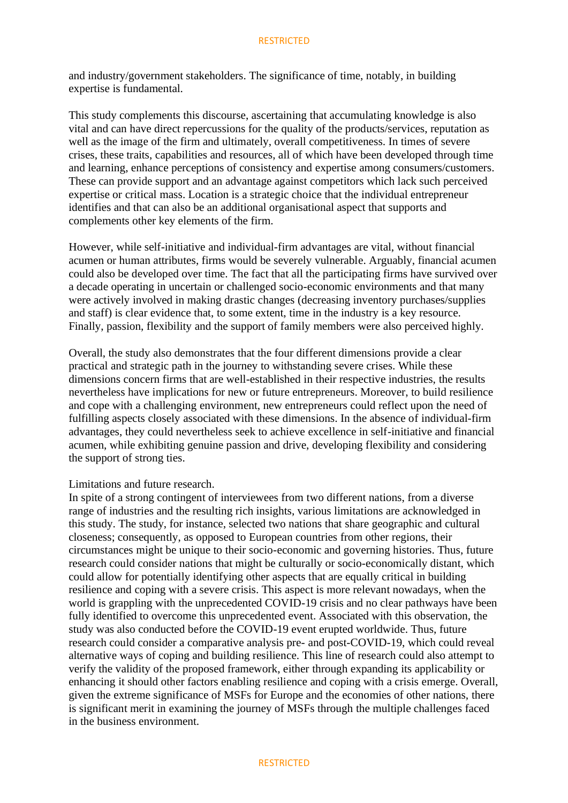and industry/government stakeholders. The significance of time, notably, in building expertise is fundamental.

This study complements this discourse, ascertaining that accumulating knowledge is also vital and can have direct repercussions for the quality of the products/services, reputation as well as the image of the firm and ultimately, overall competitiveness. In times of severe crises, these traits, capabilities and resources, all of which have been developed through time and learning, enhance perceptions of consistency and expertise among consumers/customers. These can provide support and an advantage against competitors which lack such perceived expertise or critical mass. Location is a strategic choice that the individual entrepreneur identifies and that can also be an additional organisational aspect that supports and complements other key elements of the firm.

However, while self-initiative and individual-firm advantages are vital, without financial acumen or human attributes, firms would be severely vulnerable. Arguably, financial acumen could also be developed over time. The fact that all the participating firms have survived over a decade operating in uncertain or challenged socio-economic environments and that many were actively involved in making drastic changes (decreasing inventory purchases/supplies and staff) is clear evidence that, to some extent, time in the industry is a key resource. Finally, passion, flexibility and the support of family members were also perceived highly.

Overall, the study also demonstrates that the four different dimensions provide a clear practical and strategic path in the journey to withstanding severe crises. While these dimensions concern firms that are well-established in their respective industries, the results nevertheless have implications for new or future entrepreneurs. Moreover, to build resilience and cope with a challenging environment, new entrepreneurs could reflect upon the need of fulfilling aspects closely associated with these dimensions. In the absence of individual-firm advantages, they could nevertheless seek to achieve excellence in self-initiative and financial acumen, while exhibiting genuine passion and drive, developing flexibility and considering the support of strong ties.

#### Limitations and future research.

In spite of a strong contingent of interviewees from two different nations, from a diverse range of industries and the resulting rich insights, various limitations are acknowledged in this study. The study, for instance, selected two nations that share geographic and cultural closeness; consequently, as opposed to European countries from other regions, their circumstances might be unique to their socio-economic and governing histories. Thus, future research could consider nations that might be culturally or socio-economically distant, which could allow for potentially identifying other aspects that are equally critical in building resilience and coping with a severe crisis. This aspect is more relevant nowadays, when the world is grappling with the unprecedented COVID-19 crisis and no clear pathways have been fully identified to overcome this unprecedented event. Associated with this observation, the study was also conducted before the COVID-19 event erupted worldwide. Thus, future research could consider a comparative analysis pre- and post-COVID-19, which could reveal alternative ways of coping and building resilience. This line of research could also attempt to verify the validity of the proposed framework, either through expanding its applicability or enhancing it should other factors enabling resilience and coping with a crisis emerge. Overall, given the extreme significance of MSFs for Europe and the economies of other nations, there is significant merit in examining the journey of MSFs through the multiple challenges faced in the business environment.